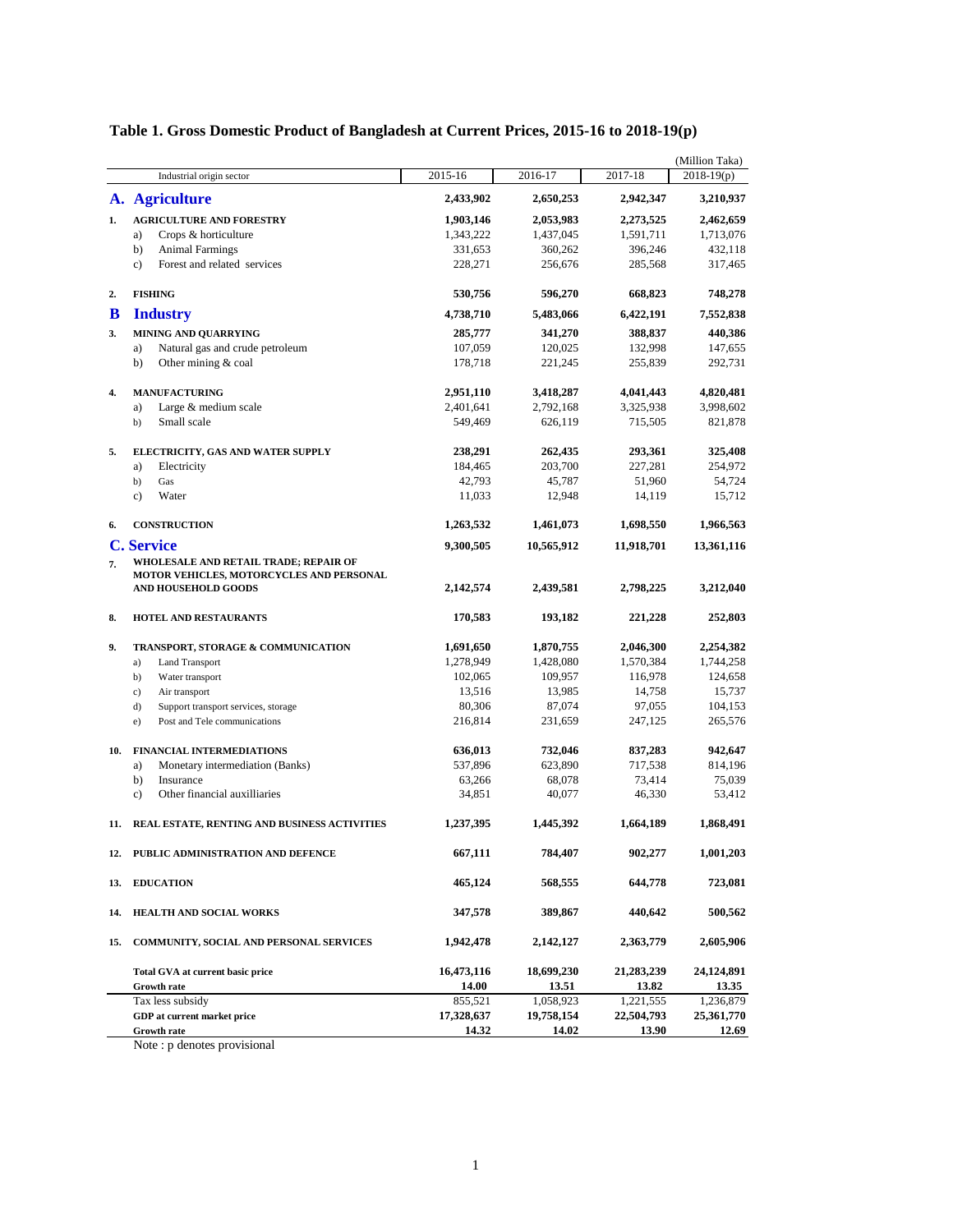### **Table 1. Gross Domestic Product of Bangladesh at Current Prices, 2015-16 to 2018-19(p)**

|     |                                               |            |            |             | (Million Taka) |
|-----|-----------------------------------------------|------------|------------|-------------|----------------|
|     | Industrial origin sector                      | 2015-16    | 2016-17    | $2017 - 18$ | $2018-19(p)$   |
|     | A. Agriculture                                | 2,433,902  | 2,650,253  | 2,942,347   | 3,210,937      |
| 1.  | <b>AGRICULTURE AND FORESTRY</b>               | 1,903,146  | 2,053,983  | 2,273,525   | 2,462,659      |
|     | Crops & horticulture<br>a)                    | 1,343,222  | 1,437,045  | 1,591,711   | 1,713,076      |
|     | b)<br><b>Animal Farmings</b>                  | 331,653    | 360,262    | 396,246     | 432,118        |
|     | Forest and related services<br>$\mathbf{c}$ ) | 228,271    | 256,676    | 285,568     | 317,465        |
| 2.  | <b>FISHING</b>                                | 530,756    | 596,270    | 668,823     | 748,278        |
| B   | <b>Industry</b>                               | 4,738,710  | 5,483,066  | 6,422,191   | 7,552,838      |
| 3.  | <b>MINING AND QUARRYING</b>                   | 285,777    | 341,270    | 388,837     | 440,386        |
|     | Natural gas and crude petroleum<br>a)         | 107,059    | 120,025    | 132,998     | 147,655        |
|     | b)<br>Other mining & coal                     | 178,718    | 221,245    | 255,839     | 292,731        |
| 4.  | <b>MANUFACTURING</b>                          | 2,951,110  | 3,418,287  | 4,041,443   | 4,820,481      |
|     | Large & medium scale<br>a)                    | 2,401,641  | 2,792,168  | 3,325,938   | 3,998,602      |
|     | Small scale<br>b)                             | 549,469    | 626,119    | 715,505     | 821,878        |
| 5.  | ELECTRICITY, GAS AND WATER SUPPLY             | 238,291    | 262,435    | 293,361     | 325,408        |
|     | a)<br>Electricity                             | 184,465    | 203,700    | 227,281     | 254,972        |
|     | b)<br>Gas                                     | 42,793     | 45,787     | 51,960      | 54,724         |
|     | $\mathbf{c}$ )<br>Water                       | 11,033     | 12,948     | 14,119      | 15,712         |
| 6.  | <b>CONSTRUCTION</b>                           | 1,263,532  | 1,461,073  | 1,698,550   | 1,966,563      |
|     | <b>C. Service</b>                             | 9,300,505  | 10,565,912 | 11,918,701  | 13,361,116     |
| 7.  | <b>WHOLESALE AND RETAIL TRADE; REPAIR OF</b>  |            |            |             |                |
|     | MOTOR VEHICLES, MOTORCYCLES AND PERSONAL      |            |            |             |                |
|     | AND HOUSEHOLD GOODS                           | 2,142,574  | 2,439,581  | 2,798,225   | 3,212,040      |
| 8.  | <b>HOTEL AND RESTAURANTS</b>                  | 170,583    | 193,182    | 221,228     | 252,803        |
| 9.  | TRANSPORT, STORAGE & COMMUNICATION            | 1,691,650  | 1,870,755  | 2,046,300   | 2,254,382      |
|     | <b>Land Transport</b><br>a)                   | 1,278,949  | 1,428,080  | 1,570,384   | 1,744,258      |
|     | Water transport<br>b)                         | 102,065    | 109,957    | 116,978     | 124,658        |
|     | $\mathbf{c}$ )<br>Air transport               | 13,516     | 13,985     | 14,758      | 15,737         |
|     | d)<br>Support transport services, storage     | 80,306     | 87,074     | 97,055      | 104,153        |
|     | e)<br>Post and Tele communications            | 216,814    | 231,659    | 247,125     | 265,576        |
| 10. | <b>FINANCIAL INTERMEDIATIONS</b>              | 636,013    | 732,046    | 837,283     | 942,647        |
|     | a)<br>Monetary intermediation (Banks)         | 537,896    | 623,890    | 717,538     | 814,196        |
|     | b)<br>Insurance                               | 63,266     | 68,078     | 73,414      | 75,039         |
|     | c)<br>Other financial auxilliaries            | 34,851     | 40,077     | 46,330      | 53,412         |
| 11. | REAL ESTATE, RENTING AND BUSINESS ACTIVITIES  | 1,237,395  | 1,445,392  | 1,664,189   | 1,868,491      |
| 12. | PUBLIC ADMINISTRATION AND DEFENCE             | 667,111    | 784,407    | 902,277     | 1,001,203      |
| 13. | <b>EDUCATION</b>                              | 465,124    | 568,555    | 644,778     | 723,081        |
| 14. | HEALTH AND SOCIAL WORKS                       | 347,578    | 389,867    | 440,642     | 500,562        |
|     |                                               |            |            |             |                |
| 15. | COMMUNITY, SOCIAL AND PERSONAL SERVICES       | 1,942,478  | 2,142,127  | 2,363,779   | 2,605,906      |
|     | Total GVA at current basic price              | 16,473,116 | 18,699,230 | 21,283,239  | 24,124,891     |
|     | <b>Growth rate</b>                            | 14.00      | 13.51      | 13.82       | 13.35          |
|     | Tax less subsidy                              | 855,521    | 1,058,923  | 1,221,555   | 1,236,879      |
|     | GDP at current market price                   | 17,328,637 | 19,758,154 | 22,504,793  | 25,361,770     |
|     | <b>Growth rate</b>                            | 14.32      | 14.02      | 13.90       | 12.69          |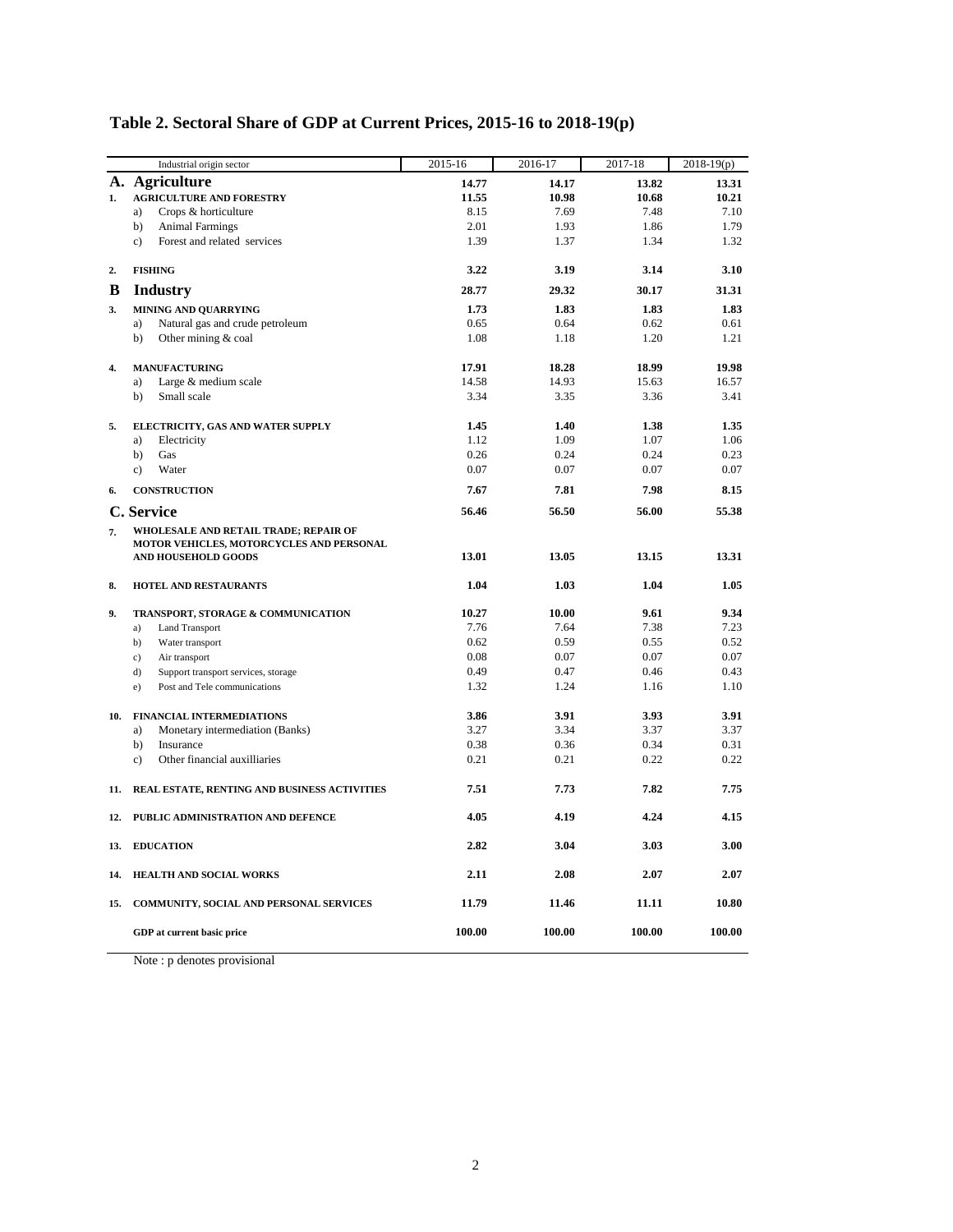|     | Industrial origin sector                                                                 | 2015-16 | 2016-17 | 2017-18 | $2018-19(p)$ |
|-----|------------------------------------------------------------------------------------------|---------|---------|---------|--------------|
|     | A. Agriculture                                                                           | 14.77   | 14.17   | 13.82   | 13.31        |
| 1.  | <b>AGRICULTURE AND FORESTRY</b>                                                          | 11.55   | 10.98   | 10.68   | 10.21        |
|     | Crops & horticulture<br>a)                                                               | 8.15    | 7.69    | 7.48    | 7.10         |
|     | b)<br><b>Animal Farmings</b>                                                             | 2.01    | 1.93    | 1.86    | 1.79         |
|     | Forest and related services<br>c)                                                        | 1.39    | 1.37    | 1.34    | 1.32         |
| 2.  | <b>FISHING</b>                                                                           | 3.22    | 3.19    | 3.14    | 3.10         |
| B   | <b>Industry</b>                                                                          | 28.77   | 29.32   | 30.17   | 31.31        |
| 3.  | <b>MINING AND QUARRYING</b>                                                              | 1.73    | 1.83    | 1.83    | 1.83         |
|     | Natural gas and crude petroleum<br>a)                                                    | 0.65    | 0.64    | 0.62    | 0.61         |
|     | Other mining & coal<br>b)                                                                | 1.08    | 1.18    | 1.20    | 1.21         |
| 4.  | <b>MANUFACTURING</b>                                                                     | 17.91   | 18.28   | 18.99   | 19.98        |
|     | Large & medium scale<br>a)                                                               | 14.58   | 14.93   | 15.63   | 16.57        |
|     | Small scale<br>b)                                                                        | 3.34    | 3.35    | 3.36    | 3.41         |
| 5.  | ELECTRICITY, GAS AND WATER SUPPLY                                                        | 1.45    | 1.40    | 1.38    | 1.35         |
|     | Electricity<br>a)                                                                        | 1.12    | 1.09    | 1.07    | 1.06         |
|     | Gas<br>b)                                                                                | 0.26    | 0.24    | 0.24    | 0.23         |
|     | Water<br>$\mathbf{c}$ )                                                                  | 0.07    | 0.07    | 0.07    | 0.07         |
| 6.  | <b>CONSTRUCTION</b>                                                                      | 7.67    | 7.81    | 7.98    | 8.15         |
|     | C. Service                                                                               | 56.46   | 56.50   | 56.00   | 55.38        |
| 7.  | <b>WHOLESALE AND RETAIL TRADE; REPAIR OF</b><br>MOTOR VEHICLES, MOTORCYCLES AND PERSONAL |         |         |         |              |
|     | AND HOUSEHOLD GOODS                                                                      | 13.01   | 13.05   | 13.15   | 13.31        |
| 8.  | <b>HOTEL AND RESTAURANTS</b>                                                             | 1.04    | 1.03    | 1.04    | 1.05         |
| 9.  | TRANSPORT, STORAGE & COMMUNICATION                                                       | 10.27   | 10.00   | 9.61    | 9.34         |
|     | <b>Land Transport</b><br>a)                                                              | 7.76    | 7.64    | 7.38    | 7.23         |
|     | b)<br>Water transport                                                                    | 0.62    | 0.59    | 0.55    | 0.52         |
|     | c)<br>Air transport                                                                      | 0.08    | 0.07    | 0.07    | 0.07         |
|     | d)<br>Support transport services, storage                                                | 0.49    | 0.47    | 0.46    | 0.43         |
|     | Post and Tele communications<br>e)                                                       | 1.32    | 1.24    | 1.16    | 1.10         |
| 10. | FINANCIAL INTERMEDIATIONS                                                                | 3.86    | 3.91    | 3.93    | 3.91         |
|     | Monetary intermediation (Banks)<br>a)                                                    | 3.27    | 3.34    | 3.37    | 3.37         |
|     | b)<br>Insurance                                                                          | 0.38    | 0.36    | 0.34    | 0.31         |
|     | Other financial auxilliaries<br>$\mathbf{c})$                                            | 0.21    | 0.21    | 0.22    | 0.22         |
| 11. | REAL ESTATE, RENTING AND BUSINESS ACTIVITIES                                             | 7.51    | 7.73    | 7.82    | 7.75         |
| 12. | PUBLIC ADMINISTRATION AND DEFENCE                                                        | 4.05    | 4.19    | 4.24    | 4.15         |
| 13. | <b>EDUCATION</b>                                                                         | 2.82    | 3.04    | 3.03    | 3.00         |
| 14. | <b>HEALTH AND SOCIAL WORKS</b>                                                           | 2.11    | 2.08    | 2.07    | 2.07         |
| 15. | COMMUNITY, SOCIAL AND PERSONAL SERVICES                                                  | 11.79   | 11.46   | 11.11   | 10.80        |
|     | GDP at current basic price                                                               | 100.00  | 100.00  | 100.00  | 100.00       |

# **Table 2. Sectoral Share of GDP at Current Prices, 2015-16 to 2018-19(p)**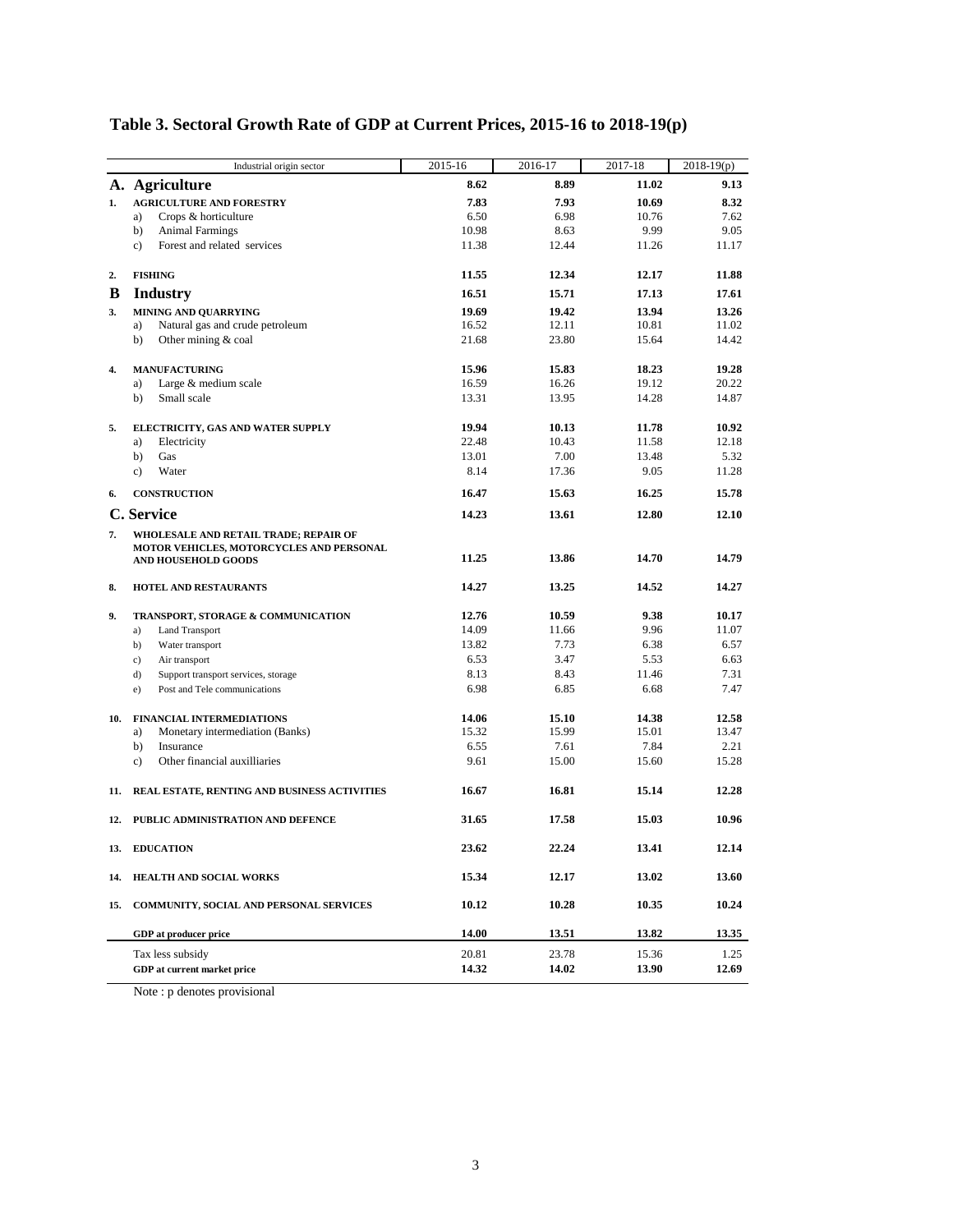|     | Industrial origin sector                                        | 2015-16 | 2016-17 | 2017-18 | $2018-19(p)$ |
|-----|-----------------------------------------------------------------|---------|---------|---------|--------------|
|     | A. Agriculture                                                  | 8.62    | 8.89    | 11.02   | 9.13         |
| 1.  | <b>AGRICULTURE AND FORESTRY</b>                                 | 7.83    | 7.93    | 10.69   | 8.32         |
|     | Crops & horticulture<br>a)                                      | 6.50    | 6.98    | 10.76   | 7.62         |
|     | <b>Animal Farmings</b><br>b)                                    | 10.98   | 8.63    | 9.99    | 9.05         |
|     | Forest and related services<br>$\mathbf{c}$ )                   | 11.38   | 12.44   | 11.26   | 11.17        |
| 2.  | <b>FISHING</b>                                                  | 11.55   | 12.34   | 12.17   | 11.88        |
| B   | <b>Industry</b>                                                 | 16.51   | 15.71   | 17.13   | 17.61        |
| 3.  | <b>MINING AND QUARRYING</b>                                     | 19.69   | 19.42   | 13.94   | 13.26        |
|     | Natural gas and crude petroleum<br>a)                           | 16.52   | 12.11   | 10.81   | 11.02        |
|     | Other mining & coal<br>b)                                       | 21.68   | 23.80   | 15.64   | 14.42        |
| 4.  | <b>MANUFACTURING</b>                                            | 15.96   | 15.83   | 18.23   | 19.28        |
|     | Large & medium scale<br>a)                                      | 16.59   | 16.26   | 19.12   | 20.22        |
|     | Small scale<br>b)                                               | 13.31   | 13.95   | 14.28   | 14.87        |
| 5.  | ELECTRICITY, GAS AND WATER SUPPLY                               | 19.94   | 10.13   | 11.78   | 10.92        |
|     | Electricity<br>a)                                               | 22.48   | 10.43   | 11.58   | 12.18        |
|     | Gas<br>b)                                                       | 13.01   | 7.00    | 13.48   | 5.32         |
|     | Water<br>$\mathbf{c}$ )                                         | 8.14    | 17.36   | 9.05    | 11.28        |
| 6.  | <b>CONSTRUCTION</b>                                             | 16.47   | 15.63   | 16.25   | 15.78        |
|     | C. Service                                                      | 14.23   | 13.61   | 12.80   | 12.10        |
| 7.  | WHOLESALE AND RETAIL TRADE; REPAIR OF                           |         |         |         |              |
|     | MOTOR VEHICLES, MOTORCYCLES AND PERSONAL<br>AND HOUSEHOLD GOODS | 11.25   | 13.86   | 14.70   | 14.79        |
|     |                                                                 |         |         |         |              |
| 8.  | <b>HOTEL AND RESTAURANTS</b>                                    | 14.27   | 13.25   | 14.52   | 14.27        |
| 9.  | TRANSPORT, STORAGE & COMMUNICATION                              | 12.76   | 10.59   | 9.38    | 10.17        |
|     | a)<br><b>Land Transport</b>                                     | 14.09   | 11.66   | 9.96    | 11.07        |
|     | b)<br>Water transport                                           | 13.82   | 7.73    | 6.38    | 6.57         |
|     | $\mathbf{c})$<br>Air transport                                  | 6.53    | 3.47    | 5.53    | 6.63         |
|     | d)<br>Support transport services, storage                       | 8.13    | 8.43    | 11.46   | 7.31         |
|     | Post and Tele communications<br>e)                              | 6.98    | 6.85    | 6.68    | 7.47         |
| 10. | <b>FINANCIAL INTERMEDIATIONS</b>                                | 14.06   | 15.10   | 14.38   | 12.58        |
|     | Monetary intermediation (Banks)<br>a)                           | 15.32   | 15.99   | 15.01   | 13.47        |
|     | b)<br>Insurance                                                 | 6.55    | 7.61    | 7.84    | 2.21         |
|     | Other financial auxilliaries<br>$\mathbf{c})$                   | 9.61    | 15.00   | 15.60   | 15.28        |
| 11. | REAL ESTATE, RENTING AND BUSINESS ACTIVITIES                    | 16.67   | 16.81   | 15.14   | 12.28        |
| 12. | PUBLIC ADMINISTRATION AND DEFENCE                               | 31.65   | 17.58   | 15.03   | 10.96        |
| 13. | <b>EDUCATION</b>                                                | 23.62   | 22.24   | 13.41   | 12.14        |
| 14. | <b>HEALTH AND SOCIAL WORKS</b>                                  | 15.34   | 12.17   | 13.02   | 13.60        |
| 15. | COMMUNITY, SOCIAL AND PERSONAL SERVICES                         | 10.12   | 10.28   | 10.35   | 10.24        |
|     | GDP at producer price                                           | 14.00   | 13.51   | 13.82   | 13.35        |
|     | Tax less subsidy                                                | 20.81   | 23.78   | 15.36   | 1.25         |
|     | GDP at current market price                                     | 14.32   | 14.02   | 13.90   | 12.69        |
|     |                                                                 |         |         |         |              |

# **Table 3. Sectoral Growth Rate of GDP at Current Prices, 2015-16 to 2018-19(p)**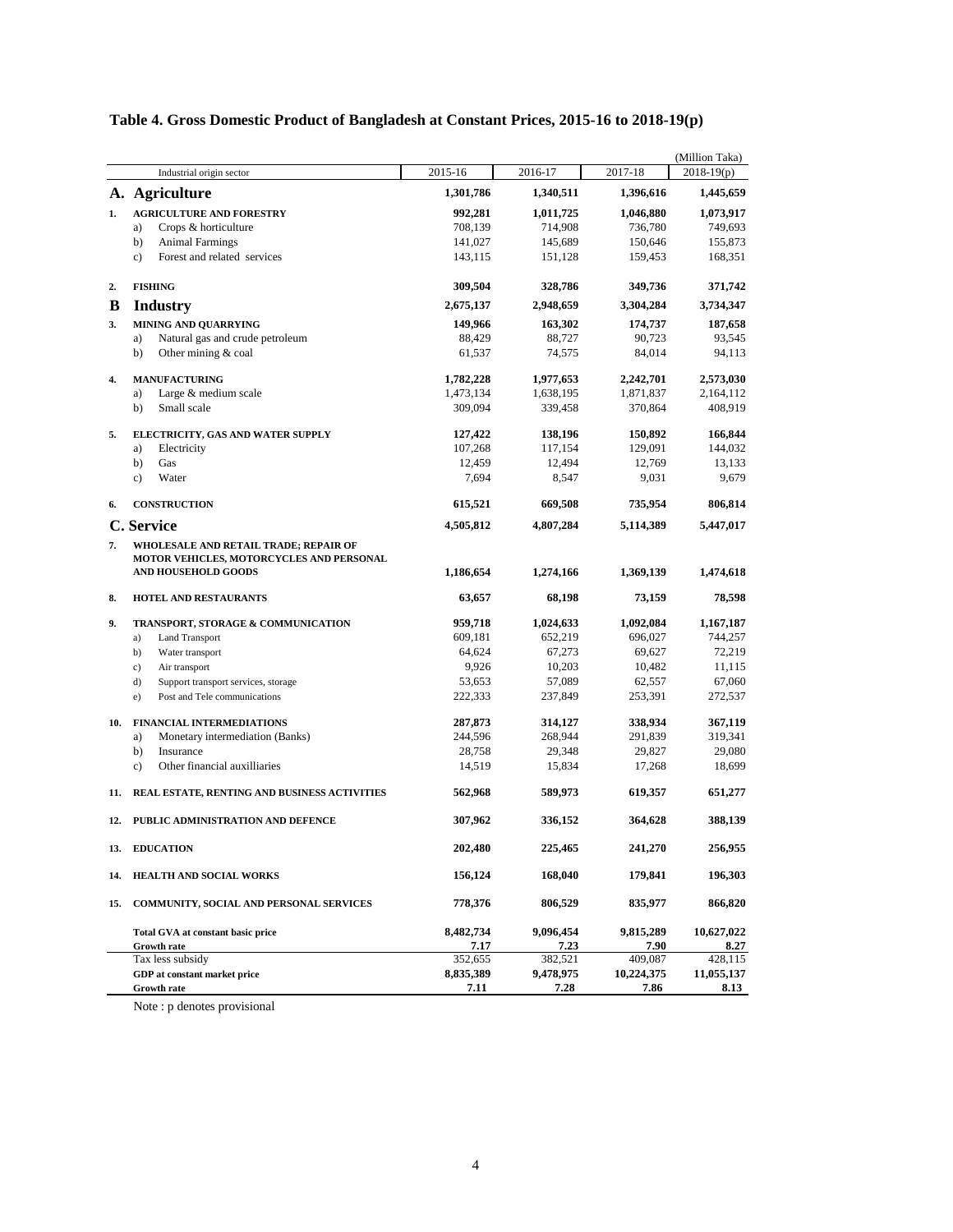|  | Table 4. Gross Domestic Product of Bangladesh at Constant Prices, 2015-16 to 2018-19(p) |  |  |  |  |  |
|--|-----------------------------------------------------------------------------------------|--|--|--|--|--|
|  |                                                                                         |  |  |  |  |  |

|         | Industrial origin sector                                           | 2015-16              | 2016-17              | 2017-18              | (Million Taka)<br>$2018-19(p)$ |
|---------|--------------------------------------------------------------------|----------------------|----------------------|----------------------|--------------------------------|
|         | A. Agriculture                                                     | 1,301,786            | 1,340,511            | 1,396,616            | 1,445,659                      |
| 1.      | <b>AGRICULTURE AND FORESTRY</b>                                    | 992,281              | 1,011,725            | 1,046,880            | 1,073,917                      |
|         | Crops & horticulture<br>a)                                         | 708,139              | 714,908              | 736,780              | 749,693                        |
|         | b)<br><b>Animal Farmings</b>                                       | 141,027              | 145,689              | 150,646              | 155,873                        |
|         | Forest and related services<br>$\mathbf{c}$ )                      | 143,115              | 151,128              | 159,453              | 168,351                        |
|         |                                                                    |                      |                      |                      |                                |
| 2.<br>B | <b>FISHING</b>                                                     | 309,504<br>2,675,137 | 328,786<br>2,948,659 | 349,736<br>3,304,284 | 371,742<br>3,734,347           |
|         | <b>Industry</b>                                                    |                      |                      |                      |                                |
| 3.      | <b>MINING AND QUARRYING</b>                                        | 149,966              | 163,302<br>88,727    | 174,737<br>90,723    | 187,658<br>93,545              |
|         | Natural gas and crude petroleum<br>a)<br>Other mining & coal<br>b) | 88,429               |                      | 84,014               | 94,113                         |
|         |                                                                    | 61,537               | 74,575               |                      |                                |
| 4.      | <b>MANUFACTURING</b>                                               | 1,782,228            | 1,977,653            | 2,242,701            | 2,573,030                      |
|         | Large & medium scale<br>a)                                         | 1,473,134            | 1,638,195            | 1,871,837            | 2,164,112                      |
|         | Small scale<br>b)                                                  | 309,094              | 339,458              | 370,864              | 408,919                        |
| 5.      | ELECTRICITY, GAS AND WATER SUPPLY                                  | 127,422              | 138,196              | 150,892              | 166,844                        |
|         | Electricity<br>a)                                                  | 107,268              | 117,154              | 129,091              | 144,032                        |
|         | b)<br>Gas                                                          | 12,459               | 12,494               | 12,769               | 13,133                         |
|         | Water<br>c)                                                        | 7,694                | 8,547                | 9,031                | 9,679                          |
| 6.      | <b>CONSTRUCTION</b>                                                | 615,521              | 669,508              | 735,954              | 806,814                        |
|         | C. Service                                                         | 4,505,812            | 4,807,284            | 5,114,389            | 5,447,017                      |
| 7.      | WHOLESALE AND RETAIL TRADE; REPAIR OF                              |                      |                      |                      |                                |
|         | MOTOR VEHICLES, MOTORCYCLES AND PERSONAL                           |                      |                      |                      |                                |
|         | AND HOUSEHOLD GOODS                                                | 1,186,654            | 1,274,166            | 1,369,139            | 1,474,618                      |
| 8.      | <b>HOTEL AND RESTAURANTS</b>                                       | 63,657               | 68,198               | 73,159               | 78,598                         |
| 9.      | TRANSPORT, STORAGE & COMMUNICATION                                 | 959,718              | 1,024,633            | 1,092,084            | 1,167,187                      |
|         | <b>Land Transport</b><br>a)                                        | 609,181              | 652,219              | 696,027              | 744,257                        |
|         | b)<br>Water transport                                              | 64,624               | 67,273               | 69,627               | 72,219                         |
|         | c)<br>Air transport                                                | 9,926                | 10,203               | 10,482               | 11,115                         |
|         | d)<br>Support transport services, storage                          | 53,653               | 57,089               | 62,557               | 67,060                         |
|         | Post and Tele communications<br>e)                                 | 222,333              | 237,849              | 253,391              | 272,537                        |
| 10.     | <b>FINANCIAL INTERMEDIATIONS</b>                                   | 287,873              | 314,127              | 338,934              | 367,119                        |
|         | Monetary intermediation (Banks)<br>a)                              | 244,596              | 268,944              | 291,839              | 319,341                        |
|         | b)<br>Insurance                                                    | 28,758               | 29,348               | 29,827               | 29,080                         |
|         | Other financial auxilliaries<br>$\mathbf{c}$ )                     | 14,519               | 15,834               | 17,268               | 18,699                         |
| 11.     | REAL ESTATE, RENTING AND BUSINESS ACTIVITIES                       | 562,968              | 589,973              | 619,357              | 651,277                        |
| 12.     | PUBLIC ADMINISTRATION AND DEFENCE                                  | 307,962              | 336,152              | 364,628              | 388,139                        |
|         |                                                                    |                      |                      |                      |                                |
| 13.     | <b>EDUCATION</b>                                                   | 202,480              | 225,465              | 241,270              | 256,955                        |
| 14.     | HEALTH AND SOCIAL WORKS                                            | 156,124              | 168,040              | 179,841              | 196,303                        |
| 15.     | COMMUNITY, SOCIAL AND PERSONAL SERVICES                            | 778,376              | 806,529              | 835,977              | 866,820                        |
|         | Total GVA at constant basic price                                  | 8,482,734            | 9,096,454            | 9,815,289            | 10,627,022                     |
|         | <b>Growth rate</b>                                                 | 7.17                 | 7.23                 | 7.90                 | 8.27                           |
|         | Tax less subsidy                                                   | 352,655              | 382,521              | 409,087              | 428,115                        |
|         | GDP at constant market price                                       | 8,835,389            | 9,478,975            | 10,224,375           | 11,055,137                     |
|         | <b>Growth rate</b>                                                 | 7.11                 | 7.28                 | 7.86                 | 8.13                           |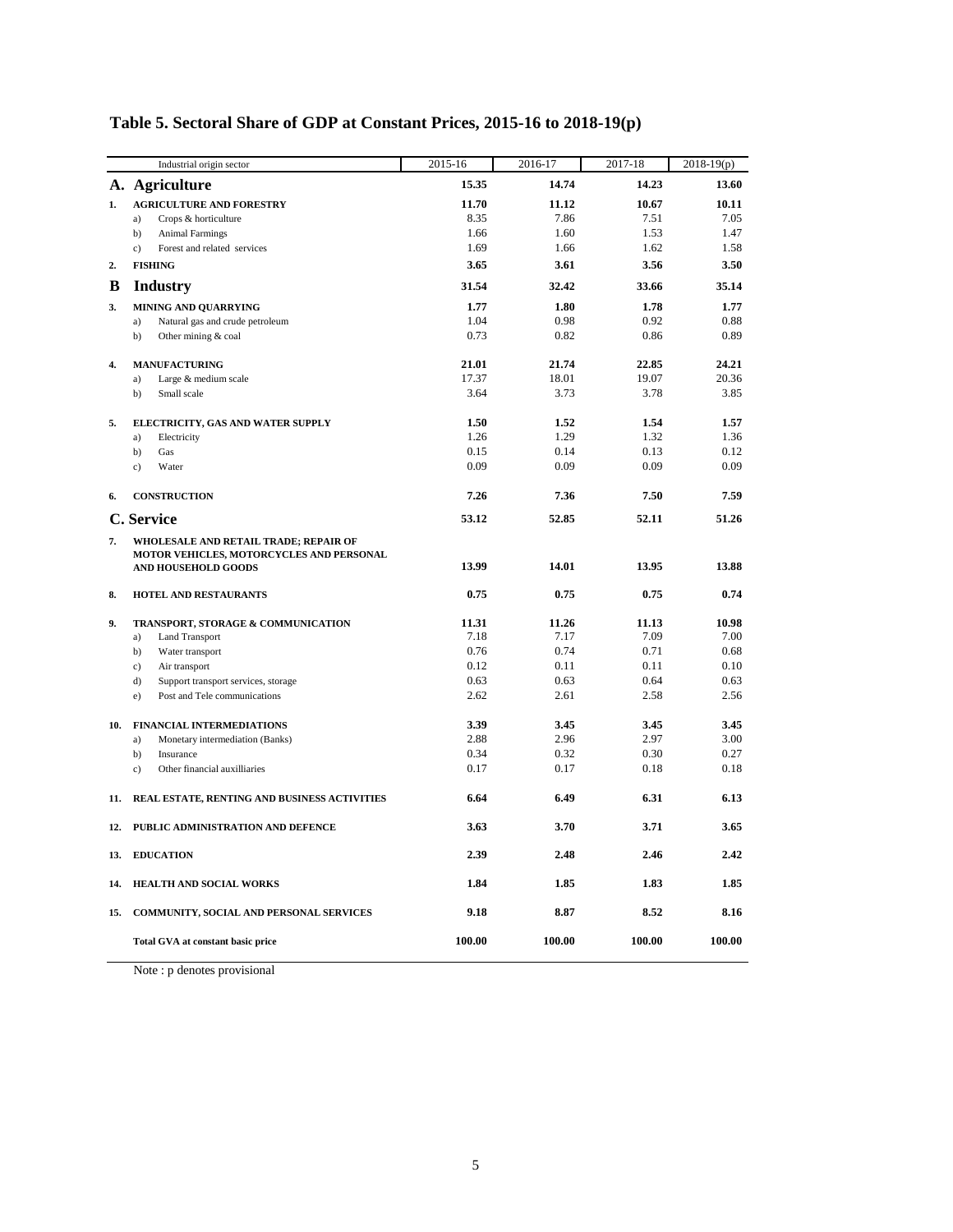|     | Industrial origin sector                                               | 2015-16      | 2016-17      | 2017-18      | $2018-19(p)$ |
|-----|------------------------------------------------------------------------|--------------|--------------|--------------|--------------|
|     | A. Agriculture                                                         | 15.35        | 14.74        | 14.23        | 13.60        |
| 1.  | <b>AGRICULTURE AND FORESTRY</b>                                        | 11.70        | 11.12        | 10.67        | 10.11        |
|     | Crops & horticulture<br>a)                                             | 8.35         | 7.86         | 7.51         | 7.05         |
|     | b)<br><b>Animal Farmings</b>                                           | 1.66         | 1.60         | 1.53         | 1.47         |
|     | Forest and related services<br>c)                                      | 1.69         | 1.66         | 1.62         | 1.58         |
| 2.  | <b>FISHING</b>                                                         | 3.65         | 3.61         | 3.56         | 3.50         |
| B   | <b>Industry</b>                                                        | 31.54        | 32.42        | 33.66        | 35.14        |
| 3.  | MINING AND QUARRYING                                                   | 1.77         | 1.80         | 1.78         | 1.77         |
|     | Natural gas and crude petroleum<br>a)                                  | 1.04         | 0.98         | 0.92         | 0.88         |
|     | b)<br>Other mining & coal                                              | 0.73         | 0.82         | 0.86         | 0.89         |
| 4.  | <b>MANUFACTURING</b>                                                   | 21.01        | 21.74        | 22.85        | 24.21        |
|     | Large & medium scale<br>a)                                             | 17.37        | 18.01        | 19.07        | 20.36        |
|     | b)<br>Small scale                                                      | 3.64         | 3.73         | 3.78         | 3.85         |
| 5.  | ELECTRICITY, GAS AND WATER SUPPLY                                      | 1.50         | 1.52         | 1.54         | 1.57         |
|     | Electricity<br>a)                                                      | 1.26         | 1.29         | 1.32         | 1.36         |
|     | b)<br>Gas                                                              | 0.15         | 0.14         | 0.13         | 0.12         |
|     | Water<br>c)                                                            | 0.09         | 0.09         | 0.09         | 0.09         |
| 6.  | <b>CONSTRUCTION</b>                                                    | 7.26         | 7.36         | 7.50         | 7.59         |
|     | C. Service                                                             | 53.12        | 52.85        | 52.11        | 51.26        |
| 7.  | WHOLESALE AND RETAIL TRADE; REPAIR OF                                  |              |              |              |              |
|     | MOTOR VEHICLES, MOTORCYCLES AND PERSONAL<br><b>AND HOUSEHOLD GOODS</b> | 13.99        | 14.01        | 13.95        | 13.88        |
|     |                                                                        |              |              |              |              |
| 8.  | <b>HOTEL AND RESTAURANTS</b>                                           | 0.75         | 0.75         | 0.75         | 0.74         |
| 9.  | TRANSPORT, STORAGE & COMMUNICATION                                     | 11.31        | 11.26        | 11.13        | 10.98        |
|     | a)<br><b>Land Transport</b>                                            | 7.18         | 7.17         | 7.09         | 7.00         |
|     | b)<br>Water transport                                                  | 0.76         | 0.74         | 0.71         | 0.68         |
|     | c)<br>Air transport                                                    | 0.12         | 0.11         | 0.11         | 0.10         |
|     | d)<br>Support transport services, storage                              | 0.63<br>2.62 | 0.63<br>2.61 | 0.64<br>2.58 | 0.63<br>2.56 |
|     | Post and Tele communications<br>e)                                     |              |              |              |              |
| 10. | <b>FINANCIAL INTERMEDIATIONS</b>                                       | 3.39         | 3.45         | 3.45         | 3.45         |
|     | Monetary intermediation (Banks)<br>a)                                  | 2.88         | 2.96         | 2.97         | 3.00         |
|     | b)<br>Insurance                                                        | 0.34         | 0.32         | 0.30         | 0.27         |
|     | Other financial auxilliaries<br>c)                                     | 0.17         | 0.17         | 0.18         | 0.18         |
| 11. | REAL ESTATE, RENTING AND BUSINESS ACTIVITIES                           | 6.64         | 6.49         | 6.31         | 6.13         |
| 12. | PUBLIC ADMINISTRATION AND DEFENCE                                      | 3.63         | 3.70         | 3.71         | 3.65         |
| 13. | <b>EDUCATION</b>                                                       | 2.39         | 2.48         | 2.46         | 2.42         |
| 14. | HEALTH AND SOCIAL WORKS                                                | 1.84         | 1.85         | 1.83         | 1.85         |
| 15. | COMMUNITY, SOCIAL AND PERSONAL SERVICES                                | 9.18         | 8.87         | 8.52         | 8.16         |
|     | <b>Total GVA at constant basic price</b>                               | 100.00       | 100.00       | 100.00       | 100.00       |

# **Table 5. Sectoral Share of GDP at Constant Prices, 2015-16 to 2018-19(p)**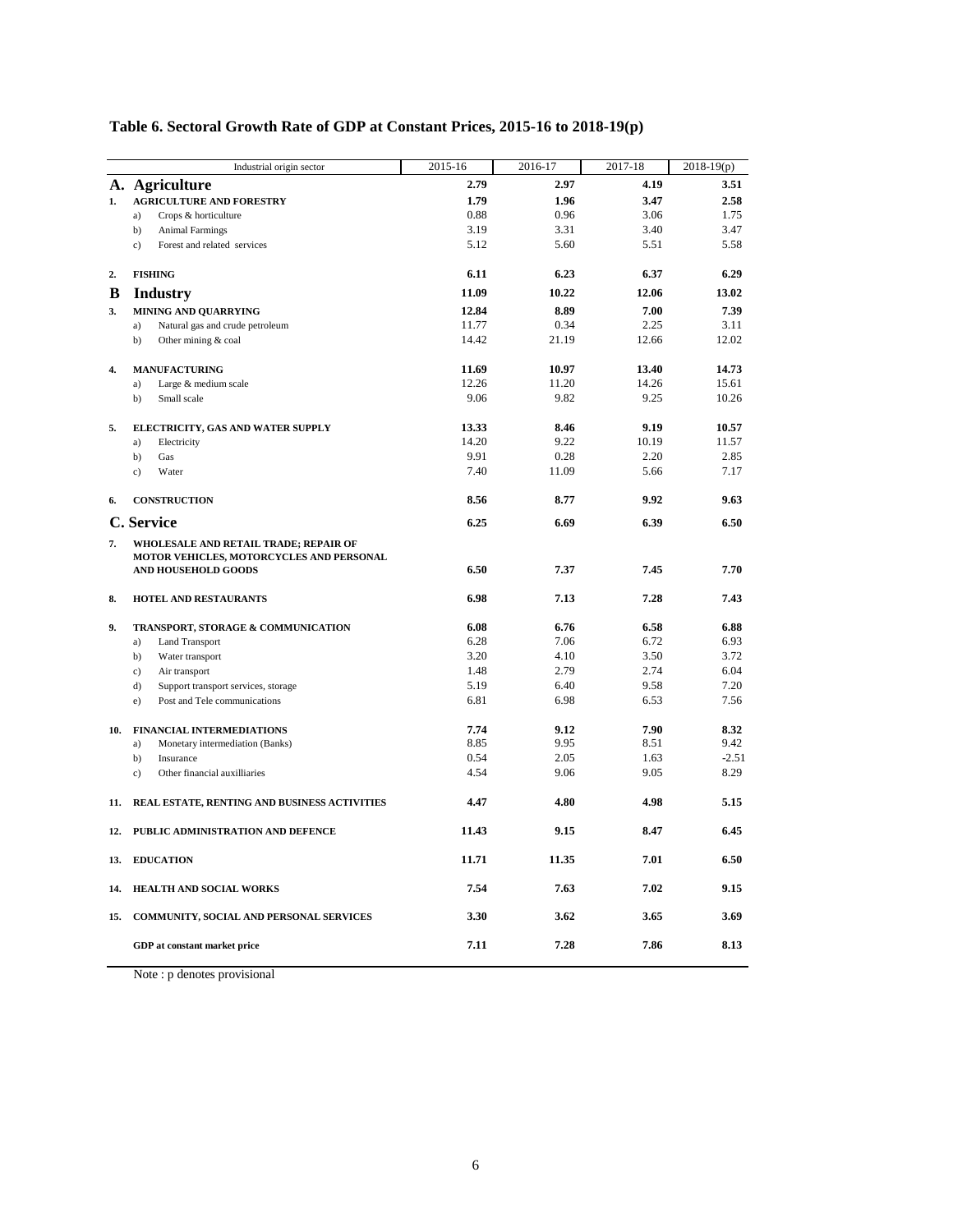|     | Industrial origin sector                     | 2015-16 | 2016-17 | 2017-18 | $2018-19(p)$ |
|-----|----------------------------------------------|---------|---------|---------|--------------|
|     | A. Agriculture                               | 2.79    | 2.97    | 4.19    | 3.51         |
| 1.  | <b>AGRICULTURE AND FORESTRY</b>              | 1.79    | 1.96    | 3.47    | 2.58         |
|     | Crops & horticulture<br>a)                   | 0.88    | 0.96    | 3.06    | 1.75         |
|     | b)<br><b>Animal Farmings</b>                 | 3.19    | 3.31    | 3.40    | 3.47         |
|     | $\mathbf{c})$<br>Forest and related services | 5.12    | 5.60    | 5.51    | 5.58         |
| 2.  | <b>FISHING</b>                               | 6.11    | 6.23    | 6.37    | 6.29         |
| B   | <b>Industry</b>                              | 11.09   | 10.22   | 12.06   | 13.02        |
| 3.  | <b>MINING AND QUARRYING</b>                  | 12.84   | 8.89    | 7.00    | 7.39         |
|     | Natural gas and crude petroleum<br>a)        | 11.77   | 0.34    | 2.25    | 3.11         |
|     | b)<br>Other mining & coal                    | 14.42   | 21.19   | 12.66   | 12.02        |
| 4.  | <b>MANUFACTURING</b>                         | 11.69   | 10.97   | 13.40   | 14.73        |
|     | Large & medium scale<br>a)                   | 12.26   | 11.20   | 14.26   | 15.61        |
|     | b)<br>Small scale                            | 9.06    | 9.82    | 9.25    | 10.26        |
| 5.  | ELECTRICITY, GAS AND WATER SUPPLY            | 13.33   | 8.46    | 9.19    | 10.57        |
|     | Electricity<br>a)                            | 14.20   | 9.22    | 10.19   | 11.57        |
|     | b)<br>Gas                                    | 9.91    | 0.28    | 2.20    | 2.85         |
|     | $\mathbf{c}$ )<br>Water                      | 7.40    | 11.09   | 5.66    | 7.17         |
| 6.  | <b>CONSTRUCTION</b>                          | 8.56    | 8.77    | 9.92    | 9.63         |
|     | C. Service                                   | 6.25    | 6.69    | 6.39    | 6.50         |
| 7.  | WHOLESALE AND RETAIL TRADE; REPAIR OF        |         |         |         |              |
|     | MOTOR VEHICLES, MOTORCYCLES AND PERSONAL     |         |         |         |              |
|     | AND HOUSEHOLD GOODS                          | 6.50    | 7.37    | 7.45    | 7.70         |
| 8.  | <b>HOTEL AND RESTAURANTS</b>                 | 6.98    | 7.13    | 7.28    | 7.43         |
| 9.  | TRANSPORT, STORAGE & COMMUNICATION           | 6.08    | 6.76    | 6.58    | 6.88         |
|     | <b>Land Transport</b><br>a)                  | 6.28    | 7.06    | 6.72    | 6.93         |
|     | b)<br>Water transport                        | 3.20    | 4.10    | 3.50    | 3.72         |
|     | c)<br>Air transport                          | 1.48    | 2.79    | 2.74    | 6.04         |
|     | d)<br>Support transport services, storage    | 5.19    | 6.40    | 9.58    | 7.20         |
|     | Post and Tele communications<br>e)           | 6.81    | 6.98    | 6.53    | 7.56         |
| 10. | <b>FINANCIAL INTERMEDIATIONS</b>             | 7.74    | 9.12    | 7.90    | 8.32         |
|     | Monetary intermediation (Banks)<br>a)        | 8.85    | 9.95    | 8.51    | 9.42         |
|     | b)<br>Insurance                              | 0.54    | 2.05    | 1.63    | $-2.51$      |
|     | Other financial auxilliaries<br>c)           | 4.54    | 9.06    | 9.05    | 8.29         |
| 11. | REAL ESTATE, RENTING AND BUSINESS ACTIVITIES | 4.47    | 4.80    | 4.98    | 5.15         |
| 12. | PUBLIC ADMINISTRATION AND DEFENCE            | 11.43   | 9.15    | 8.47    | 6.45         |
| 13. | <b>EDUCATION</b>                             | 11.71   | 11.35   | 7.01    | 6.50         |
| 14. | HEALTH AND SOCIAL WORKS                      | 7.54    | 7.63    | 7.02    | 9.15         |
| 15. | COMMUNITY, SOCIAL AND PERSONAL SERVICES      | 3.30    | 3.62    | 3.65    | 3.69         |
|     | GDP at constant market price                 | 7.11    | 7.28    | 7.86    | 8.13         |

### **Table 6. Sectoral Growth Rate of GDP at Constant Prices, 2015-16 to 2018-19(p)**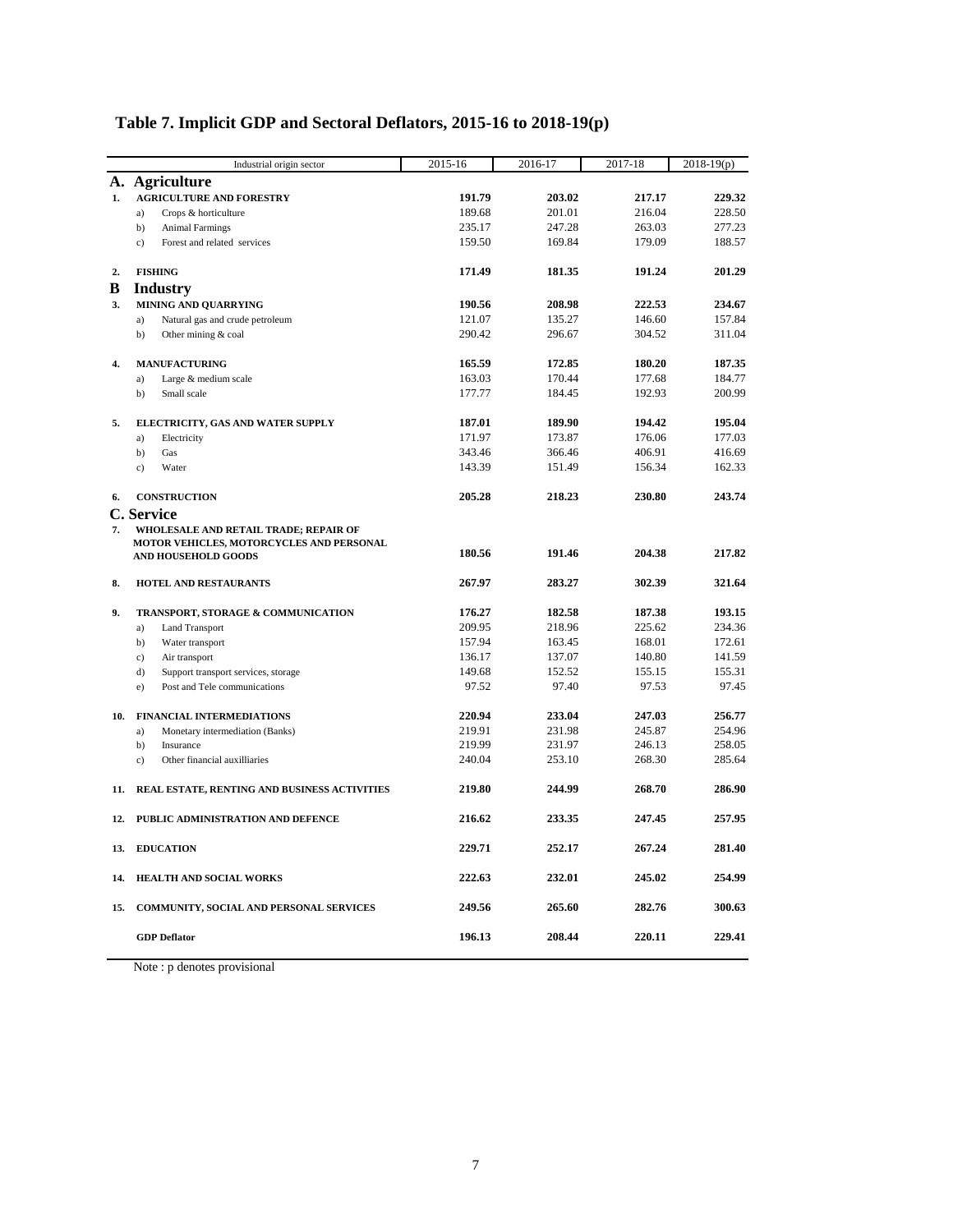|     | Industrial origin sector                         | 2015-16 | 2016-17 | 2017-18 | $2018-19(p)$ |
|-----|--------------------------------------------------|---------|---------|---------|--------------|
|     | A. Agriculture                                   |         |         |         |              |
| 1.  | <b>AGRICULTURE AND FORESTRY</b>                  | 191.79  | 203.02  | 217.17  | 229.32       |
|     | a)<br>Crops & horticulture                       | 189.68  | 201.01  | 216.04  | 228.50       |
|     | b)<br><b>Animal Farmings</b>                     | 235.17  | 247.28  | 263.03  | 277.23       |
|     | Forest and related services<br>c)                | 159.50  | 169.84  | 179.09  | 188.57       |
| 2.  | <b>FISHING</b>                                   | 171.49  | 181.35  | 191.24  | 201.29       |
| B   | <b>Industry</b>                                  |         |         |         |              |
| 3.  | MINING AND QUARRYING                             | 190.56  | 208.98  | 222.53  | 234.67       |
|     | Natural gas and crude petroleum<br>a)            | 121.07  | 135.27  | 146.60  | 157.84       |
|     | b)<br>Other mining & coal                        | 290.42  | 296.67  | 304.52  | 311.04       |
| 4.  | <b>MANUFACTURING</b>                             | 165.59  | 172.85  | 180.20  | 187.35       |
|     | Large & medium scale<br>a)                       | 163.03  | 170.44  | 177.68  | 184.77       |
|     | b)<br>Small scale                                | 177.77  | 184.45  | 192.93  | 200.99       |
| 5.  | ELECTRICITY, GAS AND WATER SUPPLY                | 187.01  | 189.90  | 194.42  | 195.04       |
|     | Electricity<br>a)                                | 171.97  | 173.87  | 176.06  | 177.03       |
|     | b)<br>Gas                                        | 343.46  | 366.46  | 406.91  | 416.69       |
|     | Water<br>c)                                      | 143.39  | 151.49  | 156.34  | 162.33       |
| 6.  | <b>CONSTRUCTION</b>                              | 205.28  | 218.23  | 230.80  | 243.74       |
|     | C. Service                                       |         |         |         |              |
| 7.  | WHOLESALE AND RETAIL TRADE; REPAIR OF            |         |         |         |              |
|     | MOTOR VEHICLES, MOTORCYCLES AND PERSONAL         | 180.56  | 191.46  | 204.38  | 217.82       |
|     | <b>AND HOUSEHOLD GOODS</b>                       |         |         |         |              |
| 8.  | HOTEL AND RESTAURANTS                            | 267.97  | 283.27  | 302.39  | 321.64       |
| 9.  | TRANSPORT, STORAGE & COMMUNICATION               | 176.27  | 182.58  | 187.38  | 193.15       |
|     | a)<br><b>Land Transport</b>                      | 209.95  | 218.96  | 225.62  | 234.36       |
|     | b)<br>Water transport                            | 157.94  | 163.45  | 168.01  | 172.61       |
|     | Air transport<br>c)                              | 136.17  | 137.07  | 140.80  | 141.59       |
|     | d)<br>Support transport services, storage        | 149.68  | 152.52  | 155.15  | 155.31       |
|     | Post and Tele communications<br>e)               | 97.52   | 97.40   | 97.53   | 97.45        |
| 10. | <b>FINANCIAL INTERMEDIATIONS</b>                 | 220.94  | 233.04  | 247.03  | 256.77       |
|     | a)<br>Monetary intermediation (Banks)            | 219.91  | 231.98  | 245.87  | 254.96       |
|     | b)<br>Insurance                                  | 219.99  | 231.97  | 246.13  | 258.05       |
|     | Other financial auxilliaries<br>c)               | 240.04  | 253.10  | 268.30  | 285.64       |
|     | 11. REAL ESTATE, RENTING AND BUSINESS ACTIVITIES | 219.80  | 244.99  | 268.70  | 286.90       |
|     | 12. PUBLIC ADMINISTRATION AND DEFENCE            | 216.62  | 233.35  | 247.45  | 257.95       |
|     | 13. EDUCATION                                    | 229.71  | 252.17  | 267.24  | 281.40       |
| 14. | HEALTH AND SOCIAL WORKS                          | 222.63  | 232.01  | 245.02  | 254.99       |
|     | 15. COMMUNITY, SOCIAL AND PERSONAL SERVICES      | 249.56  | 265.60  | 282.76  | 300.63       |
|     | <b>GDP</b> Deflator                              | 196.13  | 208.44  | 220.11  | 229.41       |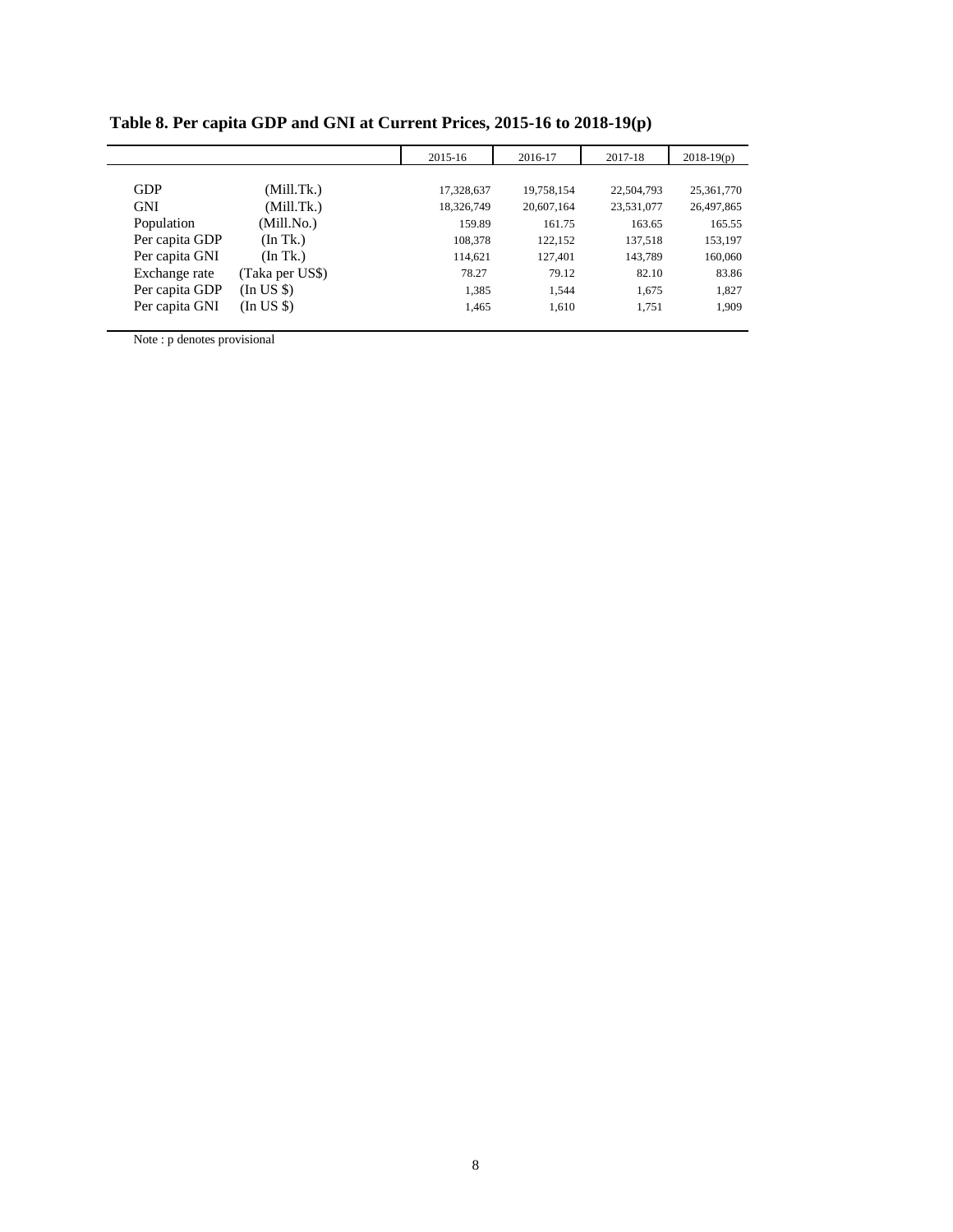|                |                 | 2015-16    | 2016-17    | 2017-18    | $2018-19(p)$ |
|----------------|-----------------|------------|------------|------------|--------------|
|                |                 |            |            |            |              |
| <b>GDP</b>     | (Mill.Tk.)      | 17,328,637 | 19,758,154 | 22,504,793 | 25,361,770   |
| <b>GNI</b>     | (Mill.Tk.)      | 18,326,749 | 20,607,164 | 23,531,077 | 26,497,865   |
| Population     | (Mill.No.)      | 159.89     | 161.75     | 163.65     | 165.55       |
| Per capita GDP | (In Tk.)        | 108,378    | 122,152    | 137,518    | 153,197      |
| Per capita GNI | (In Tk.)        | 114,621    | 127,401    | 143,789    | 160,060      |
| Exchange rate  | (Taka per US\$) | 78.27      | 79.12      | 82.10      | 83.86        |
| Per capita GDP | $(In US \)$     | 1,385      | 1.544      | 1.675      | 1,827        |
| Per capita GNI | (In US \$)      | 1,465      | 1,610      | 1,751      | 1,909        |

**Table 8. Per capita GDP and GNI at Current Prices, 2015-16 to 2018-19(p)**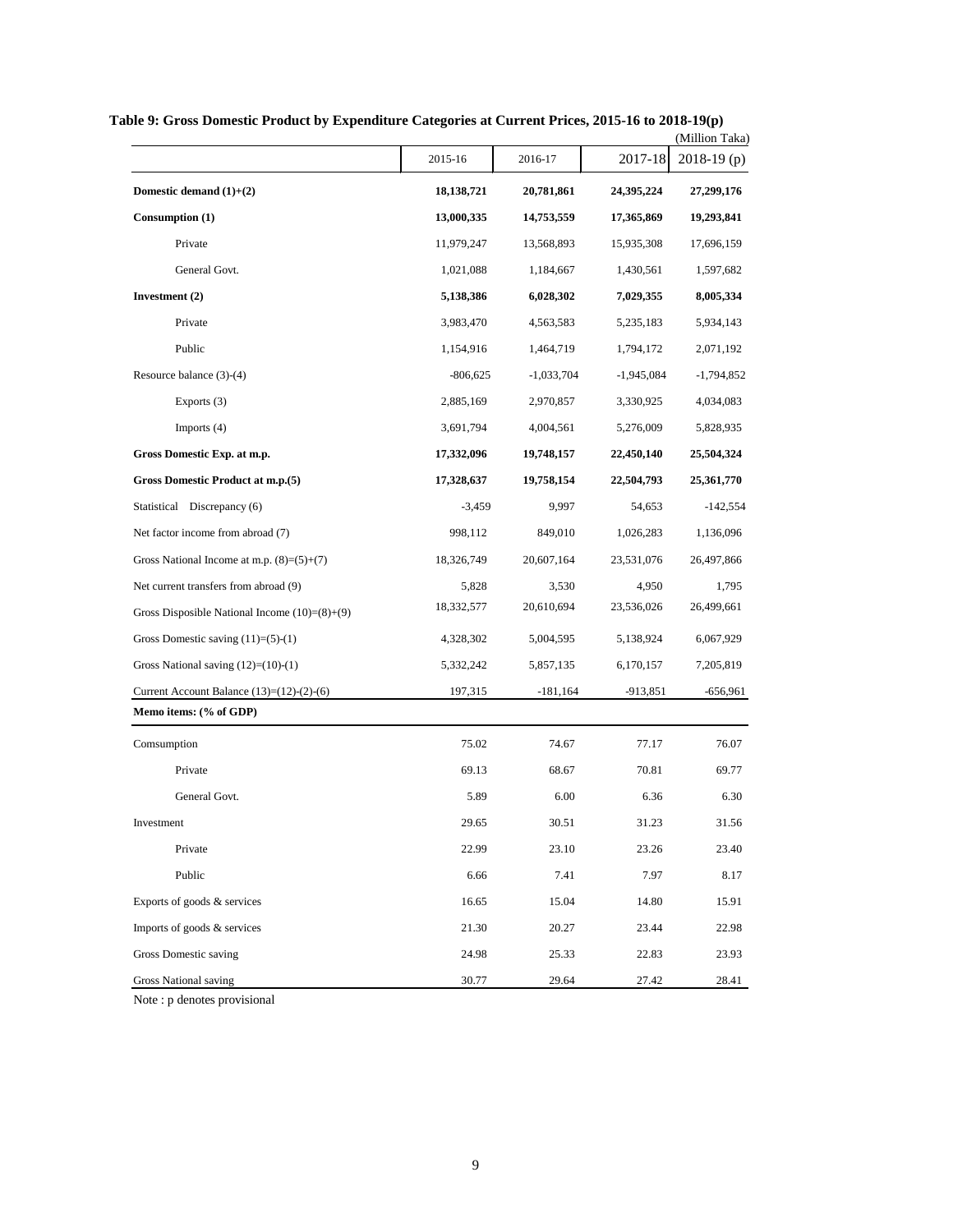|                                                  |              |              |              | (Million Taka) |
|--------------------------------------------------|--------------|--------------|--------------|----------------|
|                                                  | 2015-16      | 2016-17      | 2017-18      | $2018-19(p)$   |
| Domestic demand $(1)+(2)$                        | 18, 138, 721 | 20,781,861   | 24,395,224   | 27,299,176     |
| Consumption (1)                                  | 13,000,335   | 14,753,559   | 17,365,869   | 19,293,841     |
| Private                                          | 11,979,247   | 13,568,893   | 15,935,308   | 17,696,159     |
| General Govt.                                    | 1,021,088    | 1,184,667    | 1,430,561    | 1,597,682      |
| Investment (2)                                   | 5,138,386    | 6,028,302    | 7,029,355    | 8,005,334      |
| Private                                          | 3,983,470    | 4,563,583    | 5,235,183    | 5,934,143      |
| Public                                           | 1,154,916    | 1,464,719    | 1,794,172    | 2,071,192      |
| Resource balance (3)-(4)                         | $-806,625$   | $-1,033,704$ | $-1,945,084$ | $-1,794,852$   |
| Exports (3)                                      | 2,885,169    | 2,970,857    | 3,330,925    | 4,034,083      |
| Imports (4)                                      | 3,691,794    | 4,004,561    | 5,276,009    | 5,828,935      |
| Gross Domestic Exp. at m.p.                      | 17,332,096   | 19,748,157   | 22,450,140   | 25,504,324     |
| Gross Domestic Product at m.p.(5)                | 17,328,637   | 19,758,154   | 22,504,793   | 25,361,770     |
| Statistical Discrepancy (6)                      | $-3,459$     | 9,997        | 54,653       | $-142,554$     |
| Net factor income from abroad (7)                | 998,112      | 849,010      | 1,026,283    | 1,136,096      |
| Gross National Income at m.p. $(8)=(5)+(7)$      | 18,326,749   | 20,607,164   | 23,531,076   | 26,497,866     |
| Net current transfers from abroad (9)            | 5,828        | 3,530        | 4,950        | 1,795          |
| Gross Disposible National Income $(10)= (8)+(9)$ | 18,332,577   | 20,610,694   | 23,536,026   | 26,499,661     |
| Gross Domestic saving $(11)= (5)-(1)$            | 4,328,302    | 5,004,595    | 5,138,924    | 6,067,929      |
| Gross National saving $(12)=(10)-(1)$            | 5,332,242    | 5,857,135    | 6,170,157    | 7,205,819      |
| Current Account Balance $(13)=(12)-(2)-(6)$      | 197,315      | $-181,164$   | $-913,851$   | $-656,961$     |
| Memo items: (% of GDP)                           |              |              |              |                |
| Comsumption                                      | 75.02        | 74.67        | 77.17        | 76.07          |
| Private                                          | 69.13        | 68.67        | 70.81        | 69.77          |
| General Govt.                                    | 5.89         | 6.00         | 6.36         | 6.30           |
| Investment                                       | 29.65        | 30.51        | 31.23        | 31.56          |
| Private                                          | 22.99        | 23.10        | 23.26        | 23.40          |
| Public                                           | 6.66         | 7.41         | 7.97         | 8.17           |
| Exports of goods & services                      | 16.65        | 15.04        | 14.80        | 15.91          |
| Imports of goods & services                      | 21.30        | 20.27        | 23.44        | 22.98          |
| Gross Domestic saving                            | 24.98        | 25.33        | 22.83        | 23.93          |
| <b>Gross National saving</b>                     | 30.77        | 29.64        | 27.42        | 28.41          |

**Table 9: Gross Domestic Product by Expenditure Categories at Current Prices, 2015-16 to 2018-19(p)**